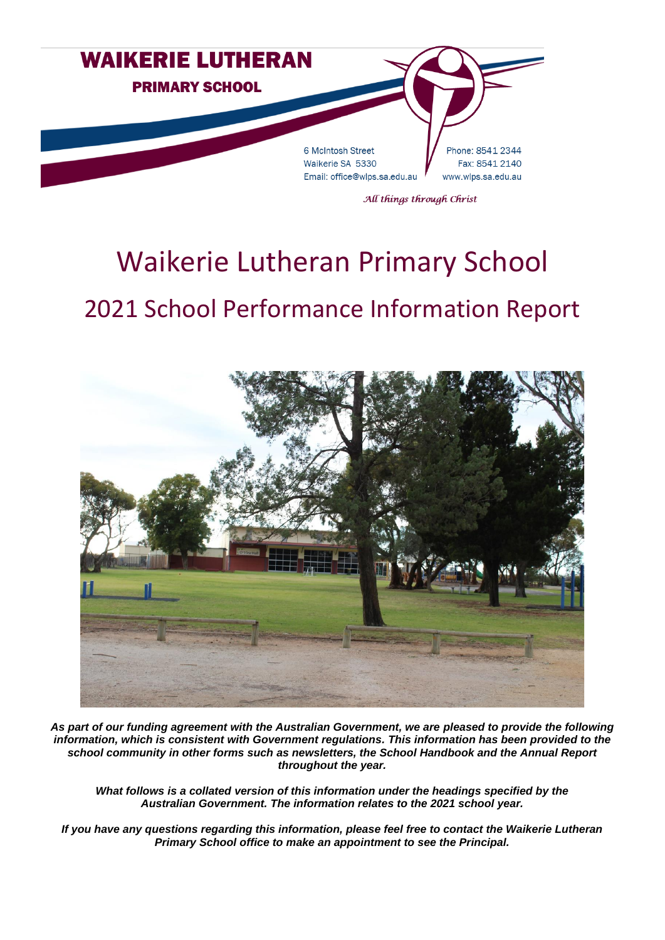

# Waikerie Lutheran Primary School 2021 School Performance Information Report



*As part of our funding agreement with the Australian Government, we are pleased to provide the following information, which is consistent with Government regulations. This information has been provided to the school community in other forms such as newsletters, the School Handbook and the Annual Report throughout the year.*

*What follows is a collated version of this information under the headings specified by the Australian Government. The information relates to the 2021 school year.*

*If you have any questions regarding this information, please feel free to contact the Waikerie Lutheran Primary School office to make an appointment to see the Principal.*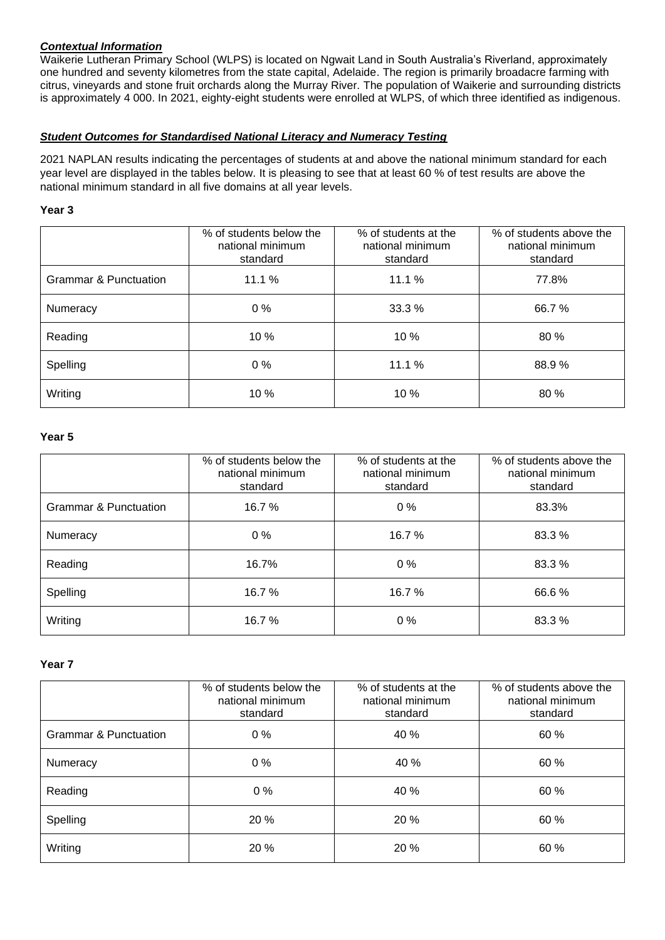# *Contextual Information*

Waikerie Lutheran Primary School (WLPS) is located on Ngwait Land in South Australia's Riverland, approximately one hundred and seventy kilometres from the state capital, Adelaide. The region is primarily broadacre farming with citrus, vineyards and stone fruit orchards along the Murray River. The population of Waikerie and surrounding districts is approximately 4 000. In 2021, eighty-eight students were enrolled at WLPS, of which three identified as indigenous.

### *Student Outcomes for Standardised National Literacy and Numeracy Testing*

2021 NAPLAN results indicating the percentages of students at and above the national minimum standard for each year level are displayed in the tables below. It is pleasing to see that at least 60 % of test results are above the national minimum standard in all five domains at all year levels.

#### **Year 3**

|                                  | % of students below the<br>national minimum<br>standard | % of students at the<br>national minimum<br>standard | % of students above the<br>national minimum<br>standard |
|----------------------------------|---------------------------------------------------------|------------------------------------------------------|---------------------------------------------------------|
| <b>Grammar &amp; Punctuation</b> | 11.1%                                                   | 11.1%                                                | 77.8%                                                   |
| Numeracy                         | $0\%$                                                   | 33.3%                                                | 66.7%                                                   |
| Reading                          | 10 %                                                    | 10 %                                                 | 80 %                                                    |
| Spelling                         | $0\%$                                                   | 11.1%                                                | 88.9%                                                   |
| Writing                          | 10 %                                                    | 10 %                                                 | 80 %                                                    |

#### **Year 5**

|                                  | % of students below the<br>national minimum<br>standard | % of students at the<br>national minimum<br>standard | % of students above the<br>national minimum<br>standard |
|----------------------------------|---------------------------------------------------------|------------------------------------------------------|---------------------------------------------------------|
| <b>Grammar &amp; Punctuation</b> | 16.7%                                                   | $0\%$                                                | 83.3%                                                   |
| Numeracy                         | $0\%$                                                   | 16.7%                                                | 83.3%                                                   |
| Reading                          | 16.7%                                                   | $0\%$                                                | 83.3 %                                                  |
| Spelling                         | 16.7 %                                                  | 16.7%                                                | 66.6%                                                   |
| Writing                          | 16.7 %                                                  | $0\%$                                                | 83.3 %                                                  |

#### **Year 7**

|                                  | % of students below the<br>national minimum<br>standard | % of students at the<br>national minimum<br>standard | % of students above the<br>national minimum<br>standard |
|----------------------------------|---------------------------------------------------------|------------------------------------------------------|---------------------------------------------------------|
| <b>Grammar &amp; Punctuation</b> | $0\%$                                                   | 40 %                                                 | 60 %                                                    |
| Numeracy                         | $0\%$                                                   | 40 %                                                 | 60 %                                                    |
| Reading                          | $0\%$                                                   | 40 %                                                 | 60 %                                                    |
| Spelling                         | 20%                                                     | 20%                                                  | 60 %                                                    |
| Writing                          | 20 %                                                    | 20 %                                                 | 60 %                                                    |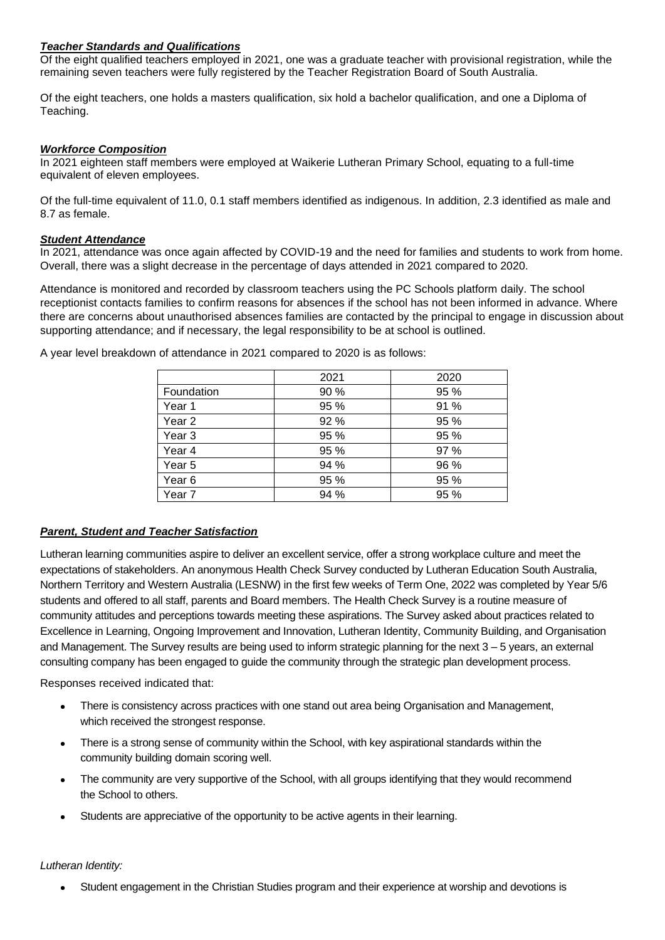#### *Teacher Standards and Qualifications*

Of the eight qualified teachers employed in 2021, one was a graduate teacher with provisional registration, while the remaining seven teachers were fully registered by the Teacher Registration Board of South Australia.

Of the eight teachers, one holds a masters qualification, six hold a bachelor qualification, and one a Diploma of Teaching.

#### *Workforce Composition*

In 2021 eighteen staff members were employed at Waikerie Lutheran Primary School, equating to a full-time equivalent of eleven employees.

Of the full-time equivalent of 11.0, 0.1 staff members identified as indigenous. In addition, 2.3 identified as male and 8.7 as female.

### *Student Attendance*

In 2021, attendance was once again affected by COVID-19 and the need for families and students to work from home. Overall, there was a slight decrease in the percentage of days attended in 2021 compared to 2020.

Attendance is monitored and recorded by classroom teachers using the PC Schools platform daily. The school receptionist contacts families to confirm reasons for absences if the school has not been informed in advance. Where there are concerns about unauthorised absences families are contacted by the principal to engage in discussion about supporting attendance; and if necessary, the legal responsibility to be at school is outlined.

|                   | 2021 | 2020 |
|-------------------|------|------|
| Foundation        | 90 % | 95 % |
| Year 1            | 95 % | 91 % |
| Year <sub>2</sub> | 92 % | 95 % |
| Year <sub>3</sub> | 95 % | 95 % |
| Year 4            | 95 % | 97 % |
| Year 5            | 94 % | 96 % |
| Year 6            | 95 % | 95 % |
| Year 7            | 94 % | 95 % |

A year level breakdown of attendance in 2021 compared to 2020 is as follows:

#### *Parent, Student and Teacher Satisfaction*

Lutheran learning communities aspire to deliver an excellent service, offer a strong workplace culture and meet the expectations of stakeholders. An anonymous Health Check Survey conducted by Lutheran Education South Australia, Northern Territory and Western Australia (LESNW) in the first few weeks of Term One, 2022 was completed by Year 5/6 students and offered to all staff, parents and Board members. The Health Check Survey is a routine measure of community attitudes and perceptions towards meeting these aspirations. The Survey asked about practices related to Excellence in Learning, Ongoing Improvement and Innovation, Lutheran Identity, Community Building, and Organisation and Management. The Survey results are being used to inform strategic planning for the next 3 – 5 years, an external consulting company has been engaged to guide the community through the strategic plan development process.

Responses received indicated that:

- There is consistency across practices with one stand out area being Organisation and Management, which received the strongest response.
- There is a strong sense of community within the School, with key aspirational standards within the community building domain scoring well.
- The community are very supportive of the School, with all groups identifying that they would recommend the School to others.
- Students are appreciative of the opportunity to be active agents in their learning.

#### *Lutheran Identity:*

• Student engagement in the Christian Studies program and their experience at worship and devotions is